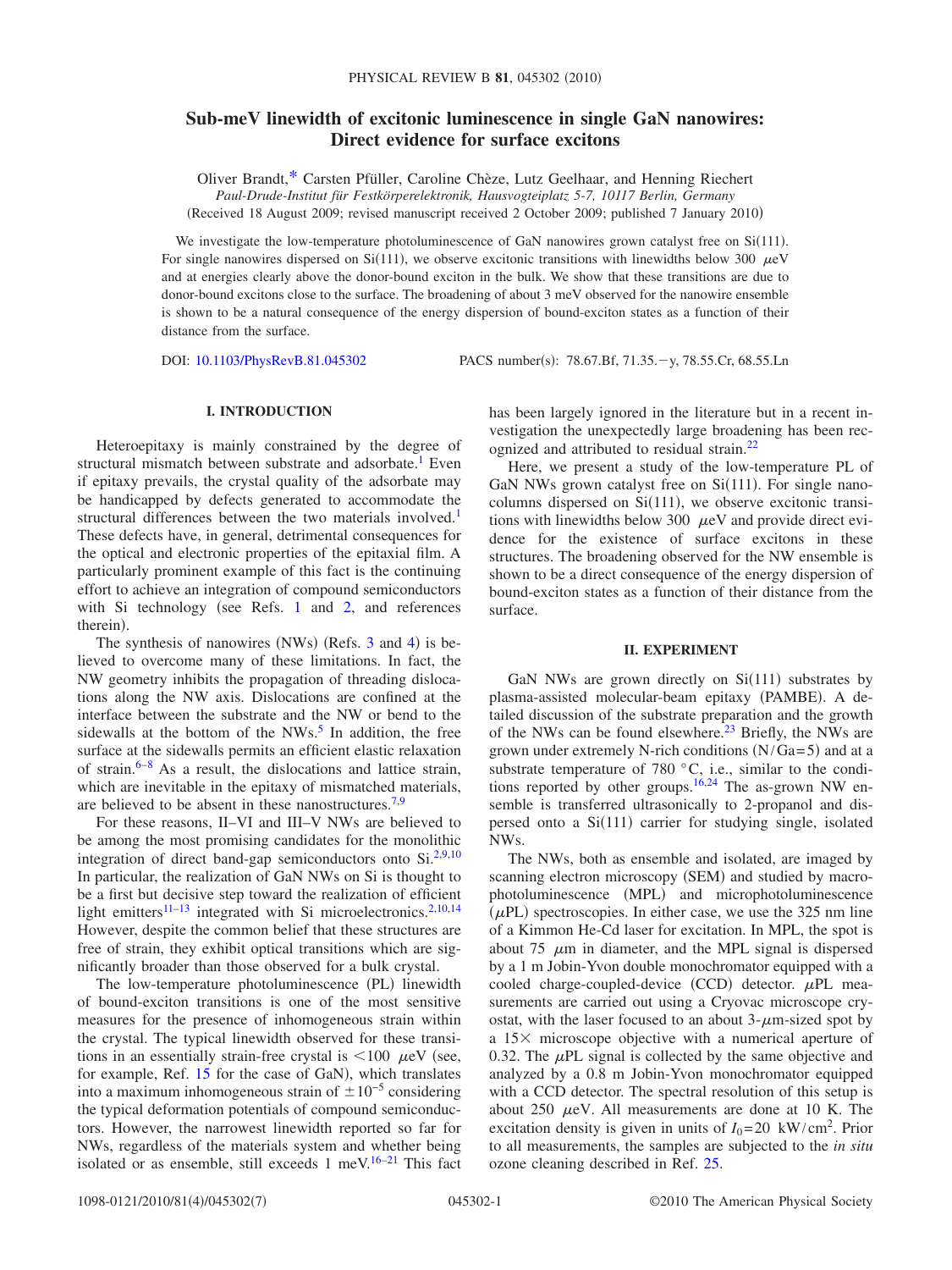# **Sub-meV linewidth of excitonic luminescence in single GaN nanowires: Direct evidence for surface excitons**

Oliver Brandt[,\\*](#page-5-0) Carsten Pfüller, Caroline Chèze, Lutz Geelhaar, and Henning Riechert *Paul-Drude-Institut für Festkörperelektronik, Hausvogteiplatz 5-7, 10117 Berlin, Germany*

(Received 18 August 2009; revised manuscript received 2 October 2009; published 7 January 2010)

We investigate the low-temperature photoluminescence of GaN nanowires grown catalyst free on Si(111). For single nanowires dispersed on Si(111), we observe excitonic transitions with linewidths below 300  $\mu$ eV and at energies clearly above the donor-bound exciton in the bulk. We show that these transitions are due to donor-bound excitons close to the surface. The broadening of about 3 meV observed for the nanowire ensemble is shown to be a natural consequence of the energy dispersion of bound-exciton states as a function of their distance from the surface.

DOI: [10.1103/PhysRevB.81.045302](http://dx.doi.org/10.1103/PhysRevB.81.045302)

: 78.67.Bf, 71.35.-y, 78.55.Cr, 68.55.Ln

## **I. INTRODUCTION**

Heteroepitaxy is mainly constrained by the degree of structural mismatch between substrate and adsorbate.<sup>1</sup> Even if epitaxy prevails, the crystal quality of the adsorbate may be handicapped by defects generated to accommodate the structural differences between the two materials involved.<sup>1</sup> These defects have, in general, detrimental consequences for the optical and electronic properties of the epitaxial film. A particularly prominent example of this fact is the continuing effort to achieve an integration of compound semiconductors with Si technology (see Refs. [1](#page-5-1) and  $2$ , and references therein).

The synthesis of nanowires (NWs) (Refs.  $3$  and  $4$ ) is believed to overcome many of these limitations. In fact, the NW geometry inhibits the propagation of threading dislocations along the NW axis. Dislocations are confined at the interface between the substrate and the NW or bend to the sidewalls at the bottom of the  $NWs<sup>5</sup>$  In addition, the free surface at the sidewalls permits an efficient elastic relaxation of strain[.6](#page-5-6)[–8](#page-5-7) As a result, the dislocations and lattice strain, which are inevitable in the epitaxy of mismatched materials, are believed to be absent in these nanostructures[.7,](#page-5-8)[9](#page-5-9)

For these reasons, II–VI and III–V NWs are believed to be among the most promising candidates for the monolithic integration of direct band-gap semiconductors onto  $Si^{2,9,10}$  $Si^{2,9,10}$  $Si^{2,9,10}$  $Si^{2,9,10}$ In particular, the realization of GaN NWs on Si is thought to be a first but decisive step toward the realization of efficient light emitters $11-13$  $11-13$  integrated with Si microelectronics.<sup>2[,10](#page-5-10)[,14](#page-5-13)</sup> However, despite the common belief that these structures are free of strain, they exhibit optical transitions which are significantly broader than those observed for a bulk crystal.

The low-temperature photoluminescence (PL) linewidth of bound-exciton transitions is one of the most sensitive measures for the presence of inhomogeneous strain within the crystal. The typical linewidth observed for these transitions in an essentially strain-free crystal is  $\langle 100 \ \mu eV \rangle$  (see, for example, Ref. [15](#page-5-14) for the case of GaN), which translates into a maximum inhomogeneous strain of  $\pm 10^{-5}$  considering the typical deformation potentials of compound semiconductors. However, the narrowest linewidth reported so far for NWs, regardless of the materials system and whether being isolated or as ensemble, still exceeds 1 meV.<sup>16–[21](#page-6-0)</sup> This fact

has been largely ignored in the literature but in a recent investigation the unexpectedly large broadening has been recognized and attributed to residual strain[.22](#page-6-1)

Here, we present a study of the low-temperature PL of GaN NWs grown catalyst free on  $Si(111)$ . For single nanocolumns dispersed on  $Si(111)$ , we observe excitonic transitions with linewidths below 300  $\mu$ eV and provide direct evidence for the existence of surface excitons in these structures. The broadening observed for the NW ensemble is shown to be a direct consequence of the energy dispersion of bound-exciton states as a function of their distance from the surface.

## **II. EXPERIMENT**

<span id="page-0-0"></span>GaN NWs are grown directly on  $Si(111)$  substrates by plasma-assisted molecular-beam epitaxy (PAMBE). A detailed discussion of the substrate preparation and the growth of the NWs can be found elsewhere. $^{23}$  Briefly, the NWs are grown under extremely N-rich conditions  $(N/Ga=5)$  and at a substrate temperature of 780  $^{\circ}$ C, i.e., similar to the condi-tions reported by other groups.<sup>16[,24](#page-6-3)</sup> The as-grown NW ensemble is transferred ultrasonically to 2-propanol and dispersed onto a Si(111) carrier for studying single, isolated NWs.

The NWs, both as ensemble and isolated, are imaged by scanning electron microscopy (SEM) and studied by macrophotoluminescence (MPL) and microphotoluminescence  $(\mu$ PL) spectroscopies. In either case, we use the 325 nm line of a Kimmon He-Cd laser for excitation. In MPL, the spot is about 75  $\mu$ m in diameter, and the MPL signal is dispersed by a 1 m Jobin-Yvon double monochromator equipped with a cooled charge-coupled-device (CCD) detector.  $\mu$ PL measurements are carried out using a Cryovac microscope cryostat, with the laser focused to an about  $3-\mu m$ -sized spot by a  $15\times$  microscope objective with a numerical aperture of 0.32. The  $\mu$ PL signal is collected by the same objective and analyzed by a 0.8 m Jobin-Yvon monochromator equipped with a CCD detector. The spectral resolution of this setup is about 250  $\mu$ eV. All measurements are done at 10 K. The excitation density is given in units of  $I_0 = 20 \text{ kW/cm}^2$ . Prior to all measurements, the samples are subjected to the *in situ* ozone cleaning described in Ref. [25.](#page-6-4)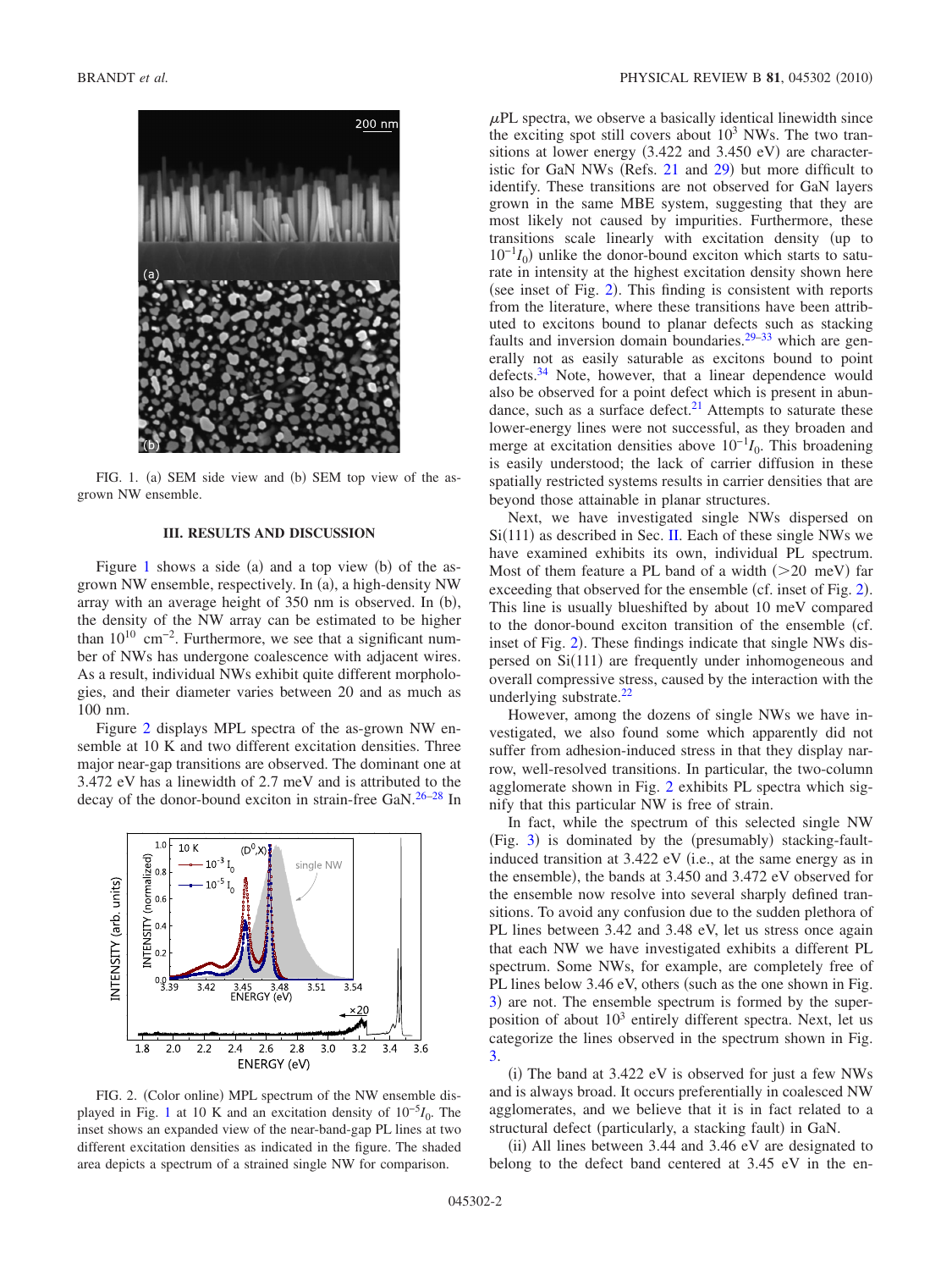<span id="page-1-0"></span>

FIG. 1. (a) SEM side view and (b) SEM top view of the asgrown NW ensemble.

#### **III. RESULTS AND DISCUSSION**

Figure [1](#page-1-0) shows a side (a) and a top view (b) of the asgrown NW ensemble, respectively. In (a), a high-density NW array with an average height of 350 nm is observed. In (b), the density of the NW array can be estimated to be higher than  $10^{10}$  cm<sup>-2</sup>. Furthermore, we see that a significant number of NWs has undergone coalescence with adjacent wires. As a result, individual NWs exhibit quite different morphologies, and their diameter varies between 20 and as much as 100 nm.

Figure [2](#page-1-1) displays MPL spectra of the as-grown NW ensemble at 10 K and two different excitation densities. Three major near-gap transitions are observed. The dominant one at 3.472 eV has a linewidth of 2.7 meV and is attributed to the decay of the donor-bound exciton in strain-free GaN.<sup>26-[28](#page-6-6)</sup> In

<span id="page-1-1"></span>

FIG. 2. (Color online) MPL spectrum of the NW ensemble displayed in Fig. [1](#page-1-0) at 10 K and an excitation density of 10−5*I*0. The inset shows an expanded view of the near-band-gap PL lines at two different excitation densities as indicated in the figure. The shaded area depicts a spectrum of a strained single NW for comparison.

 $\mu$ PL spectra, we observe a basically identical linewidth since the exciting spot still covers about  $10<sup>3</sup>$  NWs. The two transitions at lower energy  $(3.422$  and  $3.450$  eV) are characteristic for GaN NWs (Refs.  $21$  and  $29$ ) but more difficult to identify. These transitions are not observed for GaN layers grown in the same MBE system, suggesting that they are most likely not caused by impurities. Furthermore, these transitions scale linearly with excitation density (up to  $10^{-1}I_0$ ) unlike the donor-bound exciton which starts to saturate in intensity at the highest excitation density shown here (see inset of Fig.  $2$ ). This finding is consistent with reports from the literature, where these transitions have been attributed to excitons bound to planar defects such as stacking faults and inversion domain boundaries.<sup>29[–33](#page-6-8)</sup> which are generally not as easily saturable as excitons bound to point defects.<sup>34</sup> Note, however, that a linear dependence would also be observed for a point defect which is present in abundance, such as a surface defect. $2<sup>1</sup>$  Attempts to saturate these lower-energy lines were not successful, as they broaden and merge at excitation densities above  $10^{-1}I_0$ . This broadening is easily understood; the lack of carrier diffusion in these spatially restricted systems results in carrier densities that are beyond those attainable in planar structures.

Next, we have investigated single NWs dispersed on  $Si(111)$  as described in Sec. [II.](#page-0-0) Each of these single NWs we have examined exhibits its own, individual PL spectrum. Most of them feature a PL band of a width  $(>=20$  meV) far exceeding that observed for the ensemble (cf. inset of Fig. [2](#page-1-1)). This line is usually blueshifted by about 10 meV compared to the donor-bound exciton transition of the ensemble (cf. inset of Fig. [2](#page-1-1)). These findings indicate that single NWs dispersed on  $Si(111)$  are frequently under inhomogeneous and overall compressive stress, caused by the interaction with the underlying substrate.<sup>22</sup>

However, among the dozens of single NWs we have investigated, we also found some which apparently did not suffer from adhesion-induced stress in that they display narrow, well-resolved transitions. In particular, the two-column agglomerate shown in Fig. [2](#page-1-1) exhibits PL spectra which signify that this particular NW is free of strain.

In fact, while the spectrum of this selected single NW (Fig. [3](#page-2-0)) is dominated by the (presumably) stacking-faultinduced transition at 3.422 eV (i.e., at the same energy as in the ensemble), the bands at 3.450 and 3.472 eV observed for the ensemble now resolve into several sharply defined transitions. To avoid any confusion due to the sudden plethora of PL lines between 3.42 and 3.48 eV, let us stress once again that each NW we have investigated exhibits a different PL spectrum. Some NWs, for example, are completely free of PL lines below 3.46 eV, others (such as the one shown in Fig. [3](#page-2-0)) are not. The ensemble spectrum is formed by the superposition of about  $10<sup>3</sup>$  entirely different spectra. Next, let us categorize the lines observed in the spectrum shown in Fig. [3.](#page-2-0)

(i) The band at 3.422 eV is observed for just a few NWs and is always broad. It occurs preferentially in coalesced NW agglomerates, and we believe that it is in fact related to a structural defect (particularly, a stacking fault) in GaN.

(ii) All lines between 3.44 and 3.46 eV are designated to belong to the defect band centered at 3.45 eV in the en-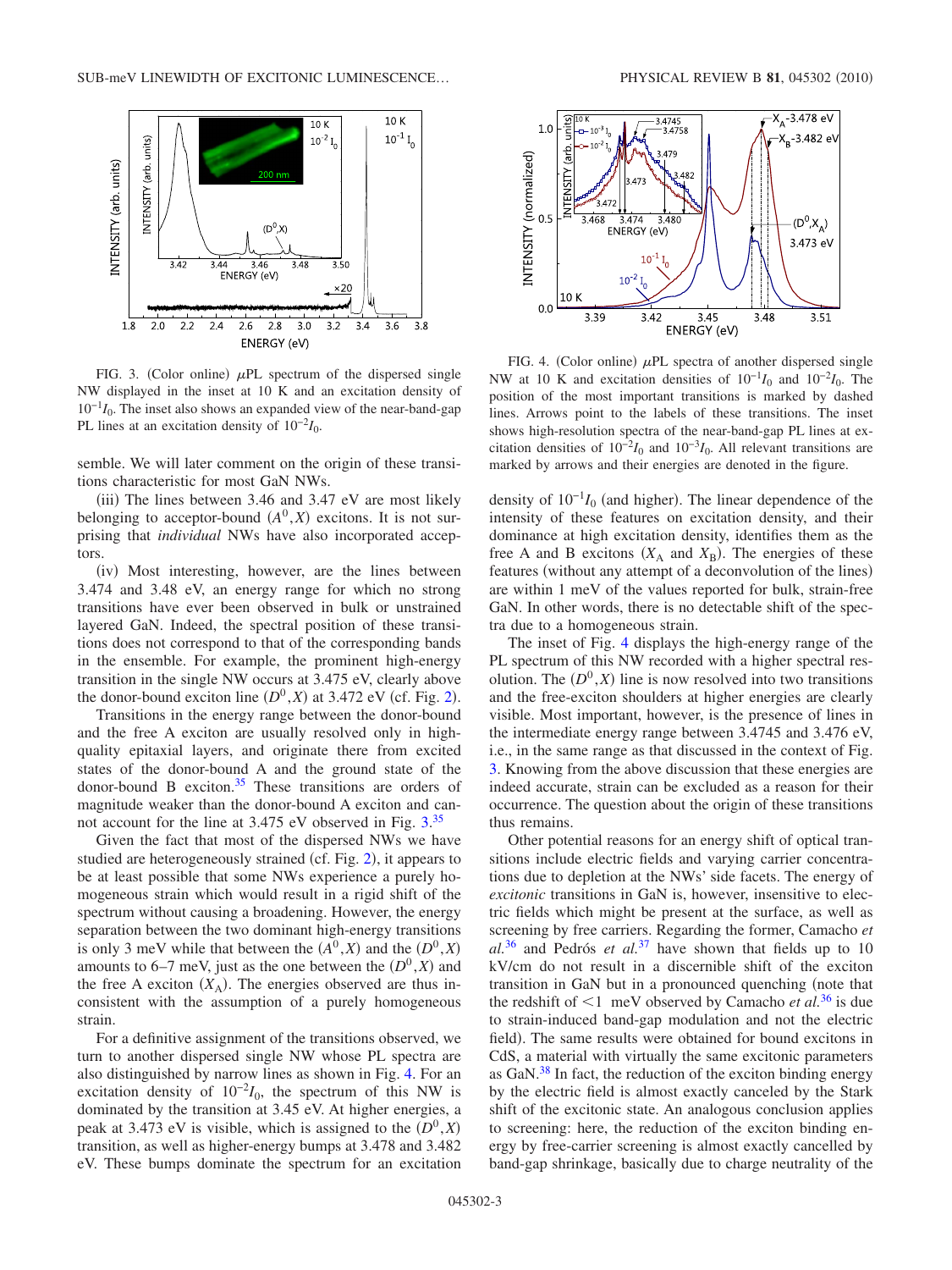<span id="page-2-0"></span>

FIG. 3. (Color online)  $\mu$ PL spectrum of the dispersed single NW displayed in the inset at 10 K and an excitation density of 10−1*I*0. The inset also shows an expanded view of the near-band-gap PL lines at an excitation density of  $10^{-2}I_0$ .

semble. We will later comment on the origin of these transitions characteristic for most GaN NWs.

(iii) The lines between 3.46 and 3.47 eV are most likely belonging to acceptor-bound  $(A^0, X)$  excitons. It is not surprising that *individual* NWs have also incorporated acceptors.

(iv) Most interesting, however, are the lines between 3.474 and 3.48 eV, an energy range for which no strong transitions have ever been observed in bulk or unstrained layered GaN. Indeed, the spectral position of these transitions does not correspond to that of the corresponding bands in the ensemble. For example, the prominent high-energy transition in the single NW occurs at 3.475 eV, clearly above the donor-bound exciton line  $(D^0, X)$  at 3.47[2](#page-1-1) eV (cf. Fig. 2).

Transitions in the energy range between the donor-bound and the free A exciton are usually resolved only in highquality epitaxial layers, and originate there from excited states of the donor-bound A and the ground state of the donor-bound B exciton.<sup>35</sup> These transitions are orders of magnitude weaker than the donor-bound A exciton and can-not account for the line at [3.](#page-2-0)475 eV observed in Fig. 3.<sup>[35](#page-6-10)</sup>

Given the fact that most of the dispersed NWs we have studied are heterogeneously strained (cf. Fig. [2](#page-1-1)), it appears to be at least possible that some NWs experience a purely homogeneous strain which would result in a rigid shift of the spectrum without causing a broadening. However, the energy separation between the two dominant high-energy transitions is only 3 meV while that between the  $(A^0, X)$  and the  $(D^0, X)$ amounts to 6–7 meV, just as the one between the  $(D^0, X)$  and the free A exciton  $(X_A)$ . The energies observed are thus inconsistent with the assumption of a purely homogeneous strain.

For a definitive assignment of the transitions observed, we turn to another dispersed single NW whose PL spectra are also distinguished by narrow lines as shown in Fig. [4.](#page-2-1) For an excitation density of  $10^{-2}I_0$ , the spectrum of this NW is dominated by the transition at 3.45 eV. At higher energies, a peak at 3.473 eV is visible, which is assigned to the  $(D^0, X)$ transition, as well as higher-energy bumps at 3.478 and 3.482 eV. These bumps dominate the spectrum for an excitation

<span id="page-2-1"></span>

FIG. 4. (Color online)  $\mu$ PL spectra of another dispersed single NW at 10 K and excitation densities of  $10^{-1}I_0$  and  $10^{-2}I_0$ . The position of the most important transitions is marked by dashed lines. Arrows point to the labels of these transitions. The inset shows high-resolution spectra of the near-band-gap PL lines at excitation densities of  $10^{-2}I_0$  and  $10^{-3}I_0$ . All relevant transitions are marked by arrows and their energies are denoted in the figure.

density of  $10^{-1}I_0$  (and higher). The linear dependence of the intensity of these features on excitation density, and their dominance at high excitation density, identifies them as the free A and B excitons  $(X_A \text{ and } X_B)$ . The energies of these features (without any attempt of a deconvolution of the lines) are within 1 meV of the values reported for bulk, strain-free GaN. In other words, there is no detectable shift of the spectra due to a homogeneous strain.

The inset of Fig. [4](#page-2-1) displays the high-energy range of the PL spectrum of this NW recorded with a higher spectral resolution. The  $(D^0, X)$  line is now resolved into two transitions and the free-exciton shoulders at higher energies are clearly visible. Most important, however, is the presence of lines in the intermediate energy range between 3.4745 and 3.476 eV, i.e., in the same range as that discussed in the context of Fig. [3.](#page-2-0) Knowing from the above discussion that these energies are indeed accurate, strain can be excluded as a reason for their occurrence. The question about the origin of these transitions thus remains.

Other potential reasons for an energy shift of optical transitions include electric fields and varying carrier concentrations due to depletion at the NWs' side facets. The energy of *excitonic* transitions in GaN is, however, insensitive to electric fields which might be present at the surface, as well as screening by free carriers. Regarding the former, Camacho *et al.*[36](#page-6-11) and Pedrós *et al.*[37](#page-6-12) have shown that fields up to 10 kV/cm do not result in a discernible shift of the exciton transition in GaN but in a pronounced quenching (note that the redshift of  $\leq 1$  meV observed by Camacho *et al.*<sup>[36](#page-6-11)</sup> is due to strain-induced band-gap modulation and not the electric field). The same results were obtained for bound excitons in CdS, a material with virtually the same excitonic parameters as GaN[.38](#page-6-13) In fact, the reduction of the exciton binding energy by the electric field is almost exactly canceled by the Stark shift of the excitonic state. An analogous conclusion applies to screening: here, the reduction of the exciton binding energy by free-carrier screening is almost exactly cancelled by band-gap shrinkage, basically due to charge neutrality of the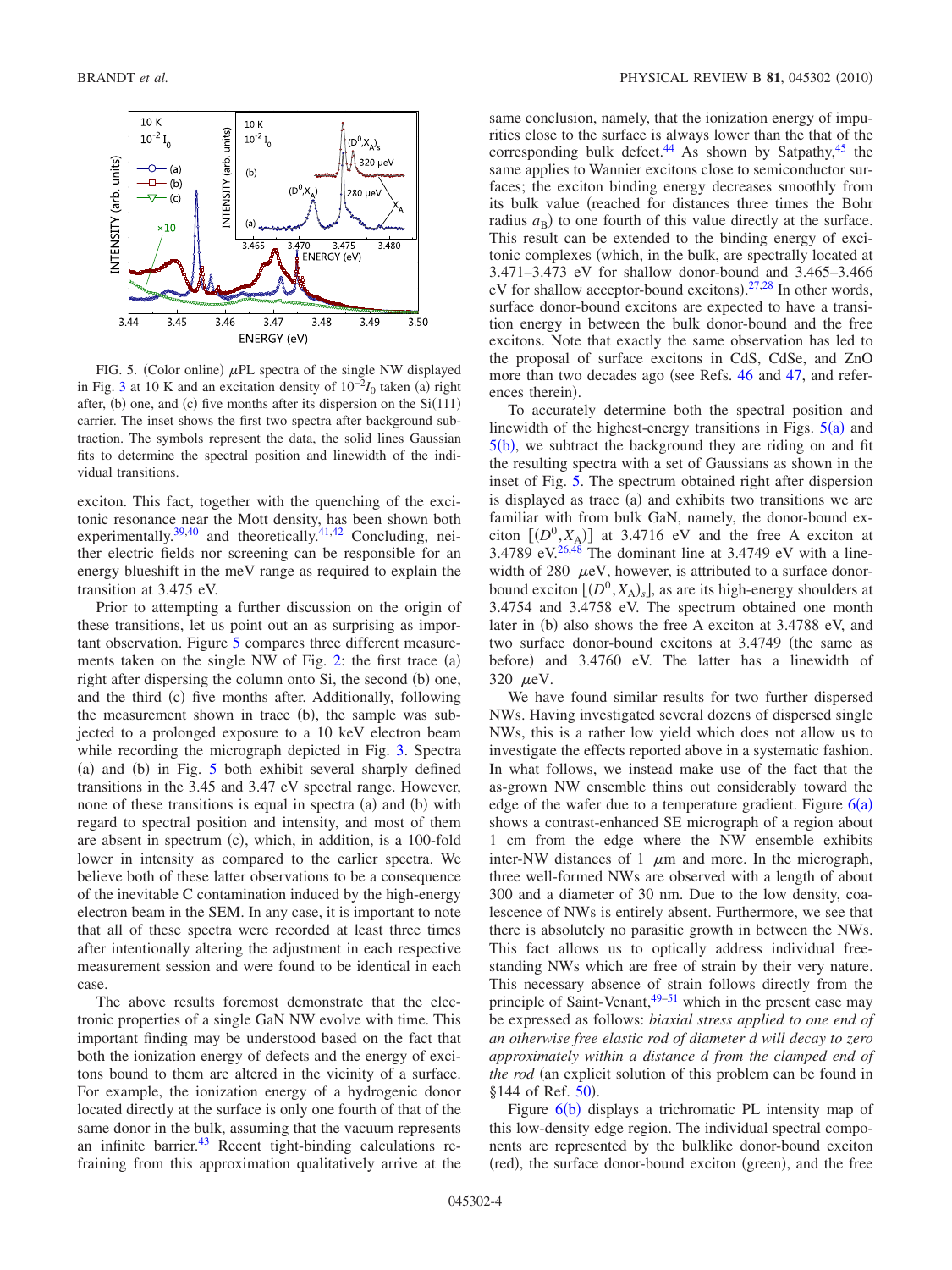<span id="page-3-0"></span>

FIG. 5. (Color online)  $\mu$ PL spectra of the single NW displayed in Fig. [3](#page-2-0) at 10 K and an excitation density of  $10^{-2}I_0$  taken (a) right after, (b) one, and (c) five months after its dispersion on the  $Si(111)$ carrier. The inset shows the first two spectra after background subtraction. The symbols represent the data, the solid lines Gaussian fits to determine the spectral position and linewidth of the individual transitions.

exciton. This fact, together with the quenching of the excitonic resonance near the Mott density, has been shown both experimentally.<sup>39[,40](#page-6-15)</sup> and theoretically.<sup>41,[42](#page-6-17)</sup> Concluding, neither electric fields nor screening can be responsible for an energy blueshift in the meV range as required to explain the transition at 3.475 eV.

Prior to attempting a further discussion on the origin of these transitions, let us point out an as surprising as important observation. Figure [5](#page-3-0) compares three different measurements taken on the single NW of Fig.  $2$ : the first trace  $(a)$ right after dispersing the column onto Si, the second (b) one, and the third (c) five months after. Additionally, following the measurement shown in trace (b), the sample was subjected to a prolonged exposure to a 10 keV electron beam while recording the micrograph depicted in Fig. [3.](#page-2-0) Spectra (a) and (b) in Fig. [5](#page-3-0) both exhibit several sharply defined transitions in the 3.45 and 3.47 eV spectral range. However, none of these transitions is equal in spectra (a) and (b) with regard to spectral position and intensity, and most of them are absent in spectrum (c), which, in addition, is a 100-fold lower in intensity as compared to the earlier spectra. We believe both of these latter observations to be a consequence of the inevitable C contamination induced by the high-energy electron beam in the SEM. In any case, it is important to note that all of these spectra were recorded at least three times after intentionally altering the adjustment in each respective measurement session and were found to be identical in each case.

The above results foremost demonstrate that the electronic properties of a single GaN NW evolve with time. This important finding may be understood based on the fact that both the ionization energy of defects and the energy of excitons bound to them are altered in the vicinity of a surface. For example, the ionization energy of a hydrogenic donor located directly at the surface is only one fourth of that of the same donor in the bulk, assuming that the vacuum represents an infinite barrier. $43$  Recent tight-binding calculations refraining from this approximation qualitatively arrive at the same conclusion, namely, that the ionization energy of impurities close to the surface is always lower than the that of the corresponding bulk defect.<sup>44</sup> As shown by Satpathy, $45$  the same applies to Wannier excitons close to semiconductor surfaces; the exciton binding energy decreases smoothly from its bulk value (reached for distances three times the Bohr radius  $a_{\rm B}$ ) to one fourth of this value directly at the surface. This result can be extended to the binding energy of excitonic complexes (which, in the bulk, are spectrally located at 3.471–3.473 eV for shallow donor-bound and 3.465–3.466 eV for shallow acceptor-bound excitons). $27,28$  $27,28$  In other words, surface donor-bound excitons are expected to have a transition energy in between the bulk donor-bound and the free excitons. Note that exactly the same observation has led to the proposal of surface excitons in CdS, CdSe, and ZnO more than two decades ago (see Refs. [46](#page-6-22) and [47,](#page-6-23) and references therein).

To accurately determine both the spectral position and linewidth of the highest-energy transitions in Figs.  $5(a)$  $5(a)$  and  $5(b)$  $5(b)$ , we subtract the background they are riding on and fit the resulting spectra with a set of Gaussians as shown in the inset of Fig. [5.](#page-3-0) The spectrum obtained right after dispersion is displayed as trace (a) and exhibits two transitions we are familiar with from bulk GaN, namely, the donor-bound exciton  $[(D^0, X_A)]$  at 3.4716 eV and the free A exciton at 3.4789 eV. $26,48$  $26,48$  The dominant line at 3.4749 eV with a linewidth of 280  $\mu$ eV, however, is attributed to a surface donorbound exciton  $[(D^0, X_A)_s]$ , as are its high-energy shoulders at 3.4754 and 3.4758 eV. The spectrum obtained one month later in (b) also shows the free A exciton at 3.4788 eV, and two surface donor-bound excitons at 3.4749 (the same as before) and 3.4760 eV. The latter has a linewidth of 320  $\mu$ eV.

We have found similar results for two further dispersed NWs. Having investigated several dozens of dispersed single NWs, this is a rather low yield which does not allow us to investigate the effects reported above in a systematic fashion. In what follows, we instead make use of the fact that the as-grown NW ensemble thins out considerably toward the edge of the wafer due to a temperature gradient. Figure  $6(a)$  $6(a)$ shows a contrast-enhanced SE micrograph of a region about 1 cm from the edge where the NW ensemble exhibits inter-NW distances of 1  $\mu$ m and more. In the micrograph, three well-formed NWs are observed with a length of about 300 and a diameter of 30 nm. Due to the low density, coalescence of NWs is entirely absent. Furthermore, we see that there is absolutely no parasitic growth in between the NWs. This fact allows us to optically address individual freestanding NWs which are free of strain by their very nature. This necessary absence of strain follows directly from the principle of Saint-Venant, $49-51$  which in the present case may be expressed as follows: *biaxial stress applied to one end of an otherwise free elastic rod of diameter d will decay to zero approximately within a distance d from the clamped end of the rod* (an explicit solution of this problem can be found in §144 of Ref. [50](#page-6-27)).

Figure [6](#page-4-0)(b) displays a trichromatic PL intensity map of this low-density edge region. The individual spectral components are represented by the bulklike donor-bound exciton (red), the surface donor-bound exciton (green), and the free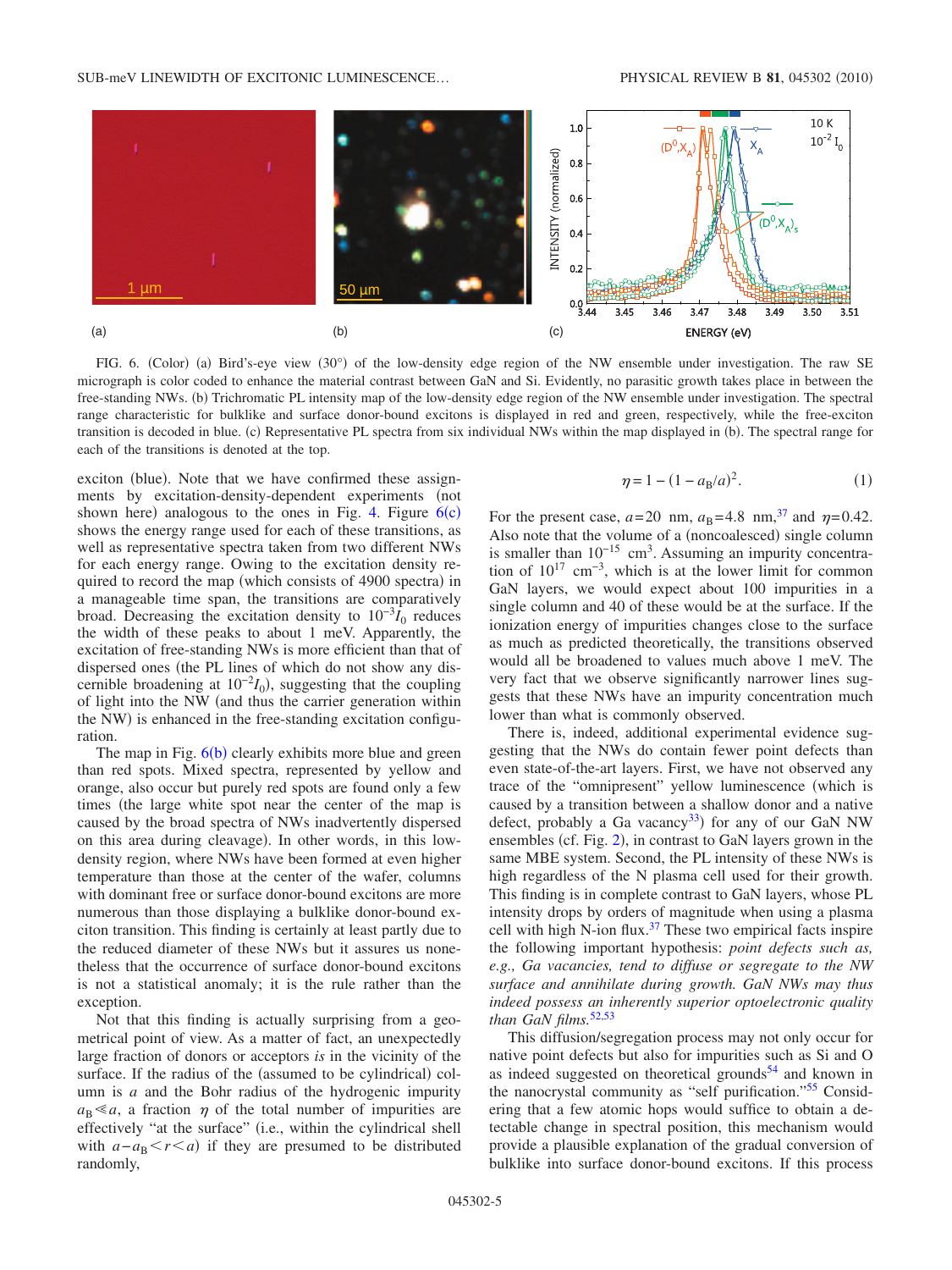<span id="page-4-0"></span>

FIG. 6. (Color) (a) Bird's-eye view (30°) of the low-density edge region of the NW ensemble under investigation. The raw SE micrograph is color coded to enhance the material contrast between GaN and Si. Evidently, no parasitic growth takes place in between the free-standing NWs. (b) Trichromatic PL intensity map of the low-density edge region of the NW ensemble under investigation. The spectral range characteristic for bulklike and surface donor-bound excitons is displayed in red and green, respectively, while the free-exciton transition is decoded in blue. (c) Representative PL spectra from six individual NWs within the map displayed in (b). The spectral range for each of the transitions is denoted at the top.

exciton (blue). Note that we have confirmed these assignments by excitation-density-dependent experiments (not shown here) analogous to the ones in Fig. [4.](#page-2-1) Figure  $6(c)$  $6(c)$ shows the energy range used for each of these transitions, as well as representative spectra taken from two different NWs for each energy range. Owing to the excitation density required to record the map (which consists of 4900 spectra) in a manageable time span, the transitions are comparatively broad. Decreasing the excitation density to  $10^{-3}I_0$  reduces the width of these peaks to about 1 meV. Apparently, the excitation of free-standing NWs is more efficient than that of dispersed ones (the PL lines of which do not show any discernible broadening at  $10^{-2}I_0$ ), suggesting that the coupling of light into the NW (and thus the carrier generation within the NW) is enhanced in the free-standing excitation configuration.

The map in Fig.  $6(b)$  $6(b)$  clearly exhibits more blue and green than red spots. Mixed spectra, represented by yellow and orange, also occur but purely red spots are found only a few times (the large white spot near the center of the map is caused by the broad spectra of NWs inadvertently dispersed on this area during cleavage). In other words, in this lowdensity region, where NWs have been formed at even higher temperature than those at the center of the wafer, columns with dominant free or surface donor-bound excitons are more numerous than those displaying a bulklike donor-bound exciton transition. This finding is certainly at least partly due to the reduced diameter of these NWs but it assures us nonetheless that the occurrence of surface donor-bound excitons is not a statistical anomaly; it is the rule rather than the exception.

Not that this finding is actually surprising from a geometrical point of view. As a matter of fact, an unexpectedly large fraction of donors or acceptors *is* in the vicinity of the surface. If the radius of the (assumed to be cylindrical) column is *a* and the Bohr radius of the hydrogenic impurity  $a_{\rm B} \ll a$ , a fraction  $\eta$  of the total number of impurities are effectively "at the surface" (i.e., within the cylindrical shell with  $a - a_B < r < a$ ) if they are presumed to be distributed randomly,

$$
\eta = 1 - (1 - a_{\rm B}/a)^2. \tag{1}
$$

For the present case,  $a=20$  nm,  $a_B=4.8$  nm,<sup>37</sup> and  $\eta=0.42$ . Also note that the volume of a (noncoalesced) single column is smaller than  $10^{-15}$  cm<sup>3</sup>. Assuming an impurity concentration of  $10^{17}$  cm<sup>-3</sup>, which is at the lower limit for common GaN layers, we would expect about 100 impurities in a single column and 40 of these would be at the surface. If the ionization energy of impurities changes close to the surface as much as predicted theoretically, the transitions observed would all be broadened to values much above 1 meV. The very fact that we observe significantly narrower lines suggests that these NWs have an impurity concentration much lower than what is commonly observed.

There is, indeed, additional experimental evidence suggesting that the NWs do contain fewer point defects than even state-of-the-art layers. First, we have not observed any trace of the "omnipresent" yellow luminescence (which is caused by a transition between a shallow donor and a native defect, probably a Ga vacancy<sup>33</sup>) for any of our GaN NW ensembles (cf. Fig. [2](#page-1-1)), in contrast to GaN layers grown in the same MBE system. Second, the PL intensity of these NWs is high regardless of the N plasma cell used for their growth. This finding is in complete contrast to GaN layers, whose PL intensity drops by orders of magnitude when using a plasma cell with high N-ion flux. $37$  These two empirical facts inspire the following important hypothesis: *point defects such as, e.g., Ga vacancies, tend to diffuse or segregate to the NW surface and annihilate during growth. GaN NWs may thus indeed possess an inherently superior optoelectronic quality than GaN films.*[52](#page-6-28)[,53](#page-6-29)

This diffusion/segregation process may not only occur for native point defects but also for impurities such as Si and O as indeed suggested on theoretical grounds $54$  and known in the nanocrystal community as "self purification.["55](#page-6-31) Considering that a few atomic hops would suffice to obtain a detectable change in spectral position, this mechanism would provide a plausible explanation of the gradual conversion of bulklike into surface donor-bound excitons. If this process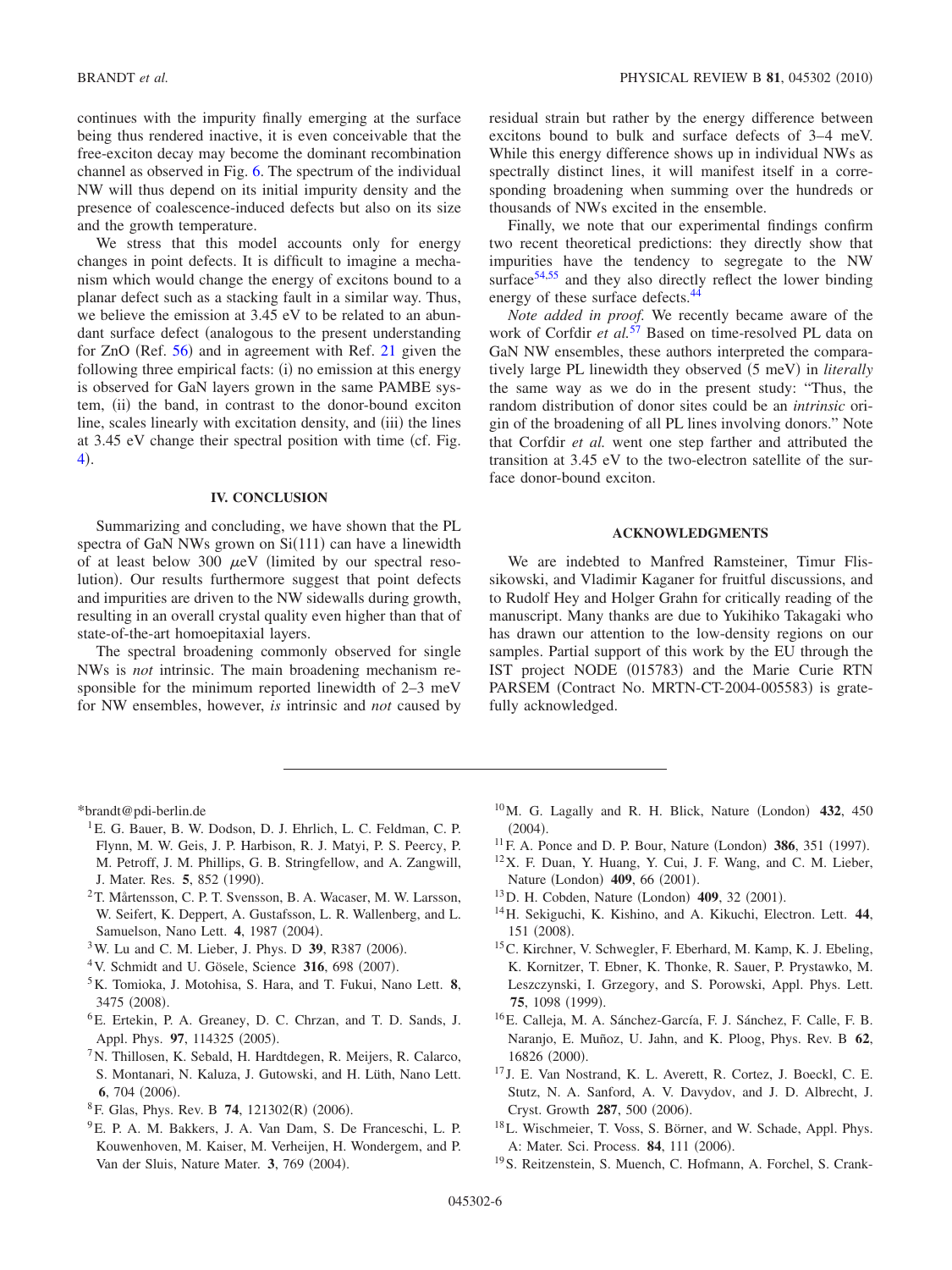continues with the impurity finally emerging at the surface being thus rendered inactive, it is even conceivable that the free-exciton decay may become the dominant recombination channel as observed in Fig. [6.](#page-4-0) The spectrum of the individual NW will thus depend on its initial impurity density and the presence of coalescence-induced defects but also on its size and the growth temperature.

We stress that this model accounts only for energy changes in point defects. It is difficult to imagine a mechanism which would change the energy of excitons bound to a planar defect such as a stacking fault in a similar way. Thus, we believe the emission at 3.45 eV to be related to an abundant surface defect (analogous to the present understanding for  $ZnO$  (Ref. [56](#page-6-32)) and in agreement with Ref. [21](#page-6-0) given the following three empirical facts: (i) no emission at this energy is observed for GaN layers grown in the same PAMBE system, (ii) the band, in contrast to the donor-bound exciton line, scales linearly with excitation density, and (iii) the lines at 3.45 eV change their spectral position with time (cf. Fig. [4](#page-2-1)).

#### **IV. CONCLUSION**

Summarizing and concluding, we have shown that the PL spectra of GaN NWs grown on  $Si(111)$  can have a linewidth of at least below 300  $\mu$ eV (limited by our spectral resolution). Our results furthermore suggest that point defects and impurities are driven to the NW sidewalls during growth, resulting in an overall crystal quality even higher than that of state-of-the-art homoepitaxial layers.

The spectral broadening commonly observed for single NWs is *not* intrinsic. The main broadening mechanism responsible for the minimum reported linewidth of 2–3 meV for NW ensembles, however, *is* intrinsic and *not* caused by residual strain but rather by the energy difference between excitons bound to bulk and surface defects of 3–4 meV. While this energy difference shows up in individual NWs as spectrally distinct lines, it will manifest itself in a corresponding broadening when summing over the hundreds or thousands of NWs excited in the ensemble.

Finally, we note that our experimental findings confirm two recent theoretical predictions: they directly show that impurities have the tendency to segregate to the NW surface<sup>54[,55](#page-6-31)</sup> and they also directly reflect the lower binding energy of these surface defects.<sup>44</sup>

*Note added in proof.* We recently became aware of the work of Corfdir *et al.*<sup>[57](#page-6-33)</sup> Based on time-resolved PL data on GaN NW ensembles, these authors interpreted the comparatively large PL linewidth they observed (5 meV) in *literally* the same way as we do in the present study: "Thus, the random distribution of donor sites could be an *intrinsic* origin of the broadening of all PL lines involving donors." Note that Corfdir *et al.* went one step farther and attributed the transition at 3.45 eV to the two-electron satellite of the surface donor-bound exciton.

### **ACKNOWLEDGMENTS**

We are indebted to Manfred Ramsteiner, Timur Flissikowski, and Vladimir Kaganer for fruitful discussions, and to Rudolf Hey and Holger Grahn for critically reading of the manuscript. Many thanks are due to Yukihiko Takagaki who has drawn our attention to the low-density regions on our samples. Partial support of this work by the EU through the IST project NODE (015783) and the Marie Curie RTN PARSEM (Contract No. MRTN-CT-2004-005583) is gratefully acknowledged.

<span id="page-5-0"></span>\*brandt@pdi-berlin.de

- <span id="page-5-1"></span><sup>1</sup>E. G. Bauer, B. W. Dodson, D. J. Ehrlich, L. C. Feldman, C. P. Flynn, M. W. Geis, J. P. Harbison, R. J. Matyi, P. S. Peercy, P. M. Petroff, J. M. Phillips, G. B. Stringfellow, and A. Zangwill, J. Mater. Res. 5, 852 (1990).
- <span id="page-5-2"></span>2T. Mårtensson, C. P. T. Svensson, B. A. Wacaser, M. W. Larsson, W. Seifert, K. Deppert, A. Gustafsson, L. R. Wallenberg, and L. Samuelson, Nano Lett. 4, 1987 (2004).
- <span id="page-5-3"></span><sup>3</sup>W. Lu and C. M. Lieber, J. Phys. D **39**, R387 (2006).
- <span id="page-5-4"></span><sup>4</sup> V. Schmidt and U. Gösele, Science 316, 698 (2007).
- <span id="page-5-5"></span>5K. Tomioka, J. Motohisa, S. Hara, and T. Fukui, Nano Lett. **8**, 3475 (2008).
- <span id="page-5-6"></span>6E. Ertekin, P. A. Greaney, D. C. Chrzan, and T. D. Sands, J. Appl. Phys. 97, 114325 (2005).
- <span id="page-5-8"></span><sup>7</sup>N. Thillosen, K. Sebald, H. Hardtdegen, R. Meijers, R. Calarco, S. Montanari, N. Kaluza, J. Gutowski, and H. Lüth, Nano Lett. **6**, 704 (2006).
- <span id="page-5-7"></span><sup>8</sup> F. Glas, Phys. Rev. B **74**, 121302(R) (2006).
- <span id="page-5-9"></span>9E. P. A. M. Bakkers, J. A. Van Dam, S. De Franceschi, L. P. Kouwenhoven, M. Kaiser, M. Verheijen, H. Wondergem, and P. Van der Sluis, Nature Mater. 3, 769 (2004).
- <span id="page-5-10"></span> $10$ M. G. Lagally and R. H. Blick, Nature (London)  $432$ ,  $450$  $(2004).$
- <span id="page-5-11"></span><sup>11</sup> F. A. Ponce and D. P. Bour, Nature (London) **386**, 351 (1997).
- 12X. F. Duan, Y. Huang, Y. Cui, J. F. Wang, and C. M. Lieber, Nature (London) 409, 66 (2001).
- <span id="page-5-12"></span><sup>13</sup>D. H. Cobden, Nature (London) **409**, 32 (2001).
- <span id="page-5-13"></span>14H. Sekiguchi, K. Kishino, and A. Kikuchi, Electron. Lett. **44**, 151 (2008).
- <span id="page-5-14"></span>15C. Kirchner, V. Schwegler, F. Eberhard, M. Kamp, K. J. Ebeling, K. Kornitzer, T. Ebner, K. Thonke, R. Sauer, P. Prystawko, M. Leszczynski, I. Grzegory, and S. Porowski, Appl. Phys. Lett. **75**, 1098 (1999).
- <span id="page-5-15"></span>16E. Calleja, M. A. Sánchez-García, F. J. Sánchez, F. Calle, F. B. Naranjo, E. Muñoz, U. Jahn, and K. Ploog, Phys. Rev. B **62**, 16826 (2000).
- <sup>17</sup> J. E. Van Nostrand, K. L. Averett, R. Cortez, J. Boeckl, C. E. Stutz, N. A. Sanford, A. V. Davydov, and J. D. Albrecht, J. Cryst. Growth 287, 500 (2006).
- 18L. Wischmeier, T. Voss, S. Börner, and W. Schade, Appl. Phys. A: Mater. Sci. Process. 84, 111 (2006).
- 19S. Reitzenstein, S. Muench, C. Hofmann, A. Forchel, S. Crank-